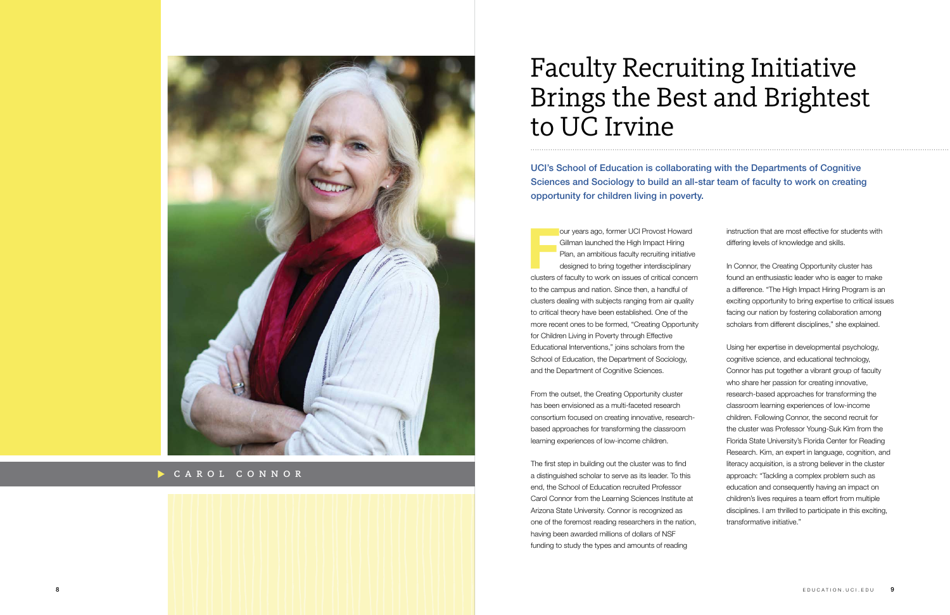## Faculty Recruiting Initiative Brings the Best and Brightest to UC Irvine

UCI's School of Education is collaborating with the Departments of Cognitive Sciences and Sociology to build an all-star team of faculty to work on creating opportunity for children living in poverty.

> instruction that are most effective for students with differing levels of knowledge and skills.

In Connor, the Creating Opportunity cluster has found an enthusiastic leader who is eager to make a difference. "The High Impact Hiring Program is an exciting opportunity to bring expertise to critical issues facing our nation by fostering collaboration among scholars from different disciplines," she explained.

Using her expertise in developmental psychology, cognitive science, and educational technology, Connor has put together a vibrant group of faculty who share her passion for creating innovative, research-based approaches for transforming the classroom learning experiences of low-income children. Following Connor, the second recruit for the cluster was Professor Young-Suk Kim from the Florida State University's Florida Center for Reading Research. Kim, an expert in language, cognition, and literacy acquisition, is a strong believer in the cluster approach: "Tackling a complex problem such as education and consequently having an impact on children's lives requires a team effort from multiple disciplines. I am thrilled to participate in this exciting, transformative initiative."

............................................................................................................................... ..............................................................

**F** our years ago, former UCI Provost Howard Gillman launched the High Impact Hiring Plan, an ambitious faculty recruiting initiative designed to bring together interdisciplinary clusters of faculty to work on issues of critical concern to the campus and nation. Since then, a handful of clusters dealing with subjects ranging from air quality to critical theory have been established. One of the more recent ones to be formed, "Creating Opportunity for Children Living in Poverty through Effective Educational Interventions," joins scholars from the School of Education, the Department of Sociology, and the Department of Cognitive Sciences.

From the outset, the Creating Opportunity cluster has been envisioned as a multi-faceted research consortium focused on creating innovative, researchbased approaches for transforming the classroom learning experiences of low-income children.

The first step in building out the cluster was to find a distinguished scholar to serve as its leader. To this end, the School of Education recruited Professor Carol Connor from the Learning Sciences Institute at Arizona State University. Connor is recognized as one of the foremost reading researchers in the nation, having been awarded millions of dollars of NSF funding to study the types and amounts of reading



CAROL CONNOR